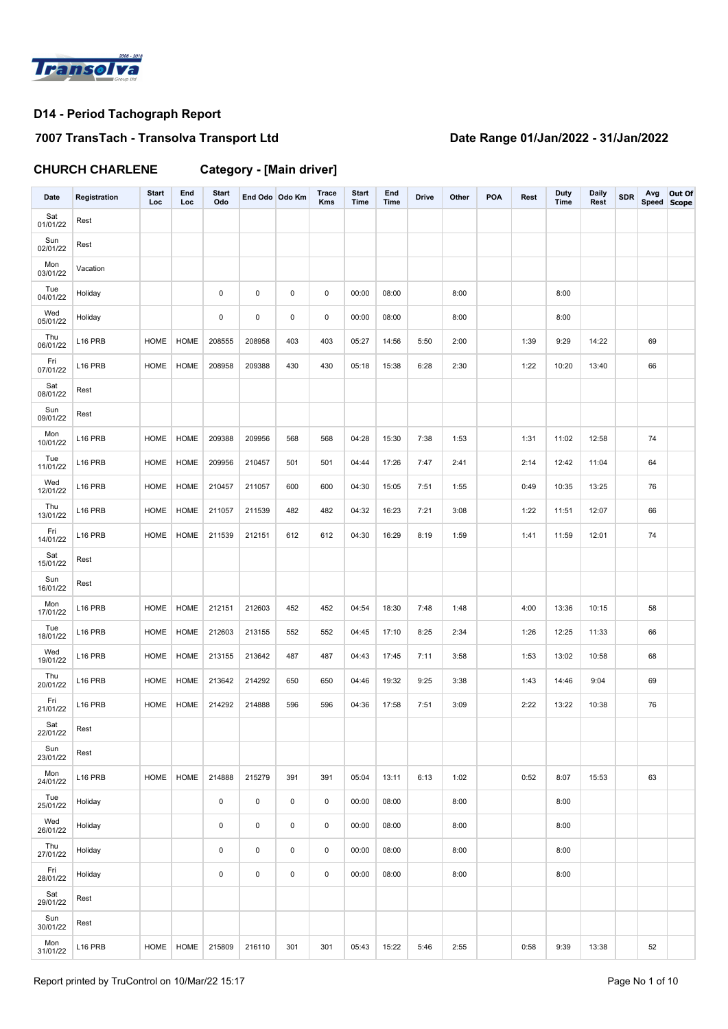

# **7007 TransTach - Transolva Transport Ltd Date Range 01/Jan/2022 - 31/Jan/2022**

**CHURCH CHARLENE Category - [Main driver]**

| Date            | Registration        | <b>Start</b><br>Loc | End<br>Loc  | <b>Start</b><br>Odo | End Odo Odo Km |     | Trace<br>Kms | <b>Start</b><br>Time | End<br><b>Time</b> | <b>Drive</b> | Other | <b>POA</b> | Rest | <b>Duty</b><br>Time | <b>Daily</b><br>Rest | <b>SDR</b> | Avg<br>Speed Scope | Out Of |
|-----------------|---------------------|---------------------|-------------|---------------------|----------------|-----|--------------|----------------------|--------------------|--------------|-------|------------|------|---------------------|----------------------|------------|--------------------|--------|
| Sat<br>01/01/22 | Rest                |                     |             |                     |                |     |              |                      |                    |              |       |            |      |                     |                      |            |                    |        |
| Sun<br>02/01/22 | Rest                |                     |             |                     |                |     |              |                      |                    |              |       |            |      |                     |                      |            |                    |        |
| Mon<br>03/01/22 | Vacation            |                     |             |                     |                |     |              |                      |                    |              |       |            |      |                     |                      |            |                    |        |
| Tue<br>04/01/22 | Holiday             |                     |             | 0                   | 0              | 0   | 0            | 00:00                | 08:00              |              | 8:00  |            |      | 8:00                |                      |            |                    |        |
| Wed<br>05/01/22 | Holiday             |                     |             | $\mathsf 0$         | 0              | 0   | 0            | 00:00                | 08:00              |              | 8:00  |            |      | 8:00                |                      |            |                    |        |
| Thu<br>06/01/22 | L16 PRB             | <b>HOME</b>         | <b>HOME</b> | 208555              | 208958         | 403 | 403          | 05:27                | 14:56              | 5:50         | 2:00  |            | 1:39 | 9:29                | 14:22                |            | 69                 |        |
| Fri<br>07/01/22 | L16 PRB             | <b>HOME</b>         | HOME        | 208958              | 209388         | 430 | 430          | 05:18                | 15:38              | 6:28         | 2:30  |            | 1:22 | 10:20               | 13:40                |            | 66                 |        |
| Sat<br>08/01/22 | Rest                |                     |             |                     |                |     |              |                      |                    |              |       |            |      |                     |                      |            |                    |        |
| Sun<br>09/01/22 | Rest                |                     |             |                     |                |     |              |                      |                    |              |       |            |      |                     |                      |            |                    |        |
| Mon<br>10/01/22 | L16 PRB             | <b>HOME</b>         | <b>HOME</b> | 209388              | 209956         | 568 | 568          | 04:28                | 15:30              | 7:38         | 1:53  |            | 1:31 | 11:02               | 12:58                |            | 74                 |        |
| Tue<br>11/01/22 | L16 PRB             | <b>HOME</b>         | <b>HOME</b> | 209956              | 210457         | 501 | 501          | 04:44                | 17:26              | 7:47         | 2:41  |            | 2:14 | 12:42               | 11:04                |            | 64                 |        |
| Wed<br>12/01/22 | L16 PRB             | <b>HOME</b>         | <b>HOME</b> | 210457              | 211057         | 600 | 600          | 04:30                | 15:05              | 7:51         | 1:55  |            | 0:49 | 10:35               | 13:25                |            | 76                 |        |
| Thu<br>13/01/22 | L16 PRB             | <b>HOME</b>         | <b>HOME</b> | 211057              | 211539         | 482 | 482          | 04:32                | 16:23              | 7:21         | 3:08  |            | 1:22 | 11:51               | 12:07                |            | 66                 |        |
| Fri<br>14/01/22 | L16 PRB             | <b>HOME</b>         | <b>HOME</b> | 211539              | 212151         | 612 | 612          | 04:30                | 16:29              | 8:19         | 1:59  |            | 1:41 | 11:59               | 12:01                |            | 74                 |        |
| Sat<br>15/01/22 | Rest                |                     |             |                     |                |     |              |                      |                    |              |       |            |      |                     |                      |            |                    |        |
| Sun<br>16/01/22 | Rest                |                     |             |                     |                |     |              |                      |                    |              |       |            |      |                     |                      |            |                    |        |
| Mon<br>17/01/22 | L16 PRB             | <b>HOME</b>         | <b>HOME</b> | 212151              | 212603         | 452 | 452          | 04:54                | 18:30              | 7:48         | 1:48  |            | 4:00 | 13:36               | 10:15                |            | 58                 |        |
| Tue<br>18/01/22 | L16 PRB             | <b>HOME</b>         | <b>HOME</b> | 212603              | 213155         | 552 | 552          | 04:45                | 17:10              | 8:25         | 2:34  |            | 1:26 | 12:25               | 11:33                |            | 66                 |        |
| Wed<br>19/01/22 | L16 PRB             | <b>HOME</b>         | <b>HOME</b> | 213155              | 213642         | 487 | 487          | 04:43                | 17:45              | 7:11         | 3:58  |            | 1:53 | 13:02               | 10:58                |            | 68                 |        |
| Thu<br>20/01/22 | L16 PRB             | <b>HOME</b>         | <b>HOME</b> | 213642              | 214292         | 650 | 650          | 04:46                | 19:32              | 9:25         | 3:38  |            | 1:43 | 14:46               | 9:04                 |            | 69                 |        |
| Fri<br>21/01/22 | L16 PRB             | <b>HOME</b>         | <b>HOME</b> | 214292              | 214888         | 596 | 596          | 04:36                | 17:58              | 7:51         | 3:09  |            | 2:22 | 13:22               | 10:38                |            | 76                 |        |
| Sat<br>22/01/22 | Rest                |                     |             |                     |                |     |              |                      |                    |              |       |            |      |                     |                      |            |                    |        |
| Sun<br>23/01/22 | Rest                |                     |             |                     |                |     |              |                      |                    |              |       |            |      |                     |                      |            |                    |        |
| Mon<br>24/01/22 | L <sub>16</sub> PRB | <b>HOME</b>         | HOME        | 214888              | 215279         | 391 | 391          | 05:04                | 13:11              | 6:13         | 1:02  |            | 0:52 | 8:07                | 15:53                |            | 63                 |        |
| Tue<br>25/01/22 | Holiday             |                     |             | $\mathsf 0$         | $\pmb{0}$      | 0   | 0            | 00:00                | 08:00              |              | 8:00  |            |      | 8:00                |                      |            |                    |        |
| Wed<br>26/01/22 | Holiday             |                     |             | 0                   | 0              | 0   | 0            | 00:00                | 08:00              |              | 8:00  |            |      | 8:00                |                      |            |                    |        |
| Thu<br>27/01/22 | Holiday             |                     |             | 0                   | 0              | 0   | 0            | 00:00                | 08:00              |              | 8:00  |            |      | 8:00                |                      |            |                    |        |
| Fri<br>28/01/22 | Holiday             |                     |             | 0                   | $\pmb{0}$      | 0   | 0            | 00:00                | 08:00              |              | 8:00  |            |      | 8:00                |                      |            |                    |        |
| Sat<br>29/01/22 | Rest                |                     |             |                     |                |     |              |                      |                    |              |       |            |      |                     |                      |            |                    |        |
| Sun<br>30/01/22 | Rest                |                     |             |                     |                |     |              |                      |                    |              |       |            |      |                     |                      |            |                    |        |
| Mon<br>31/01/22 | L <sub>16</sub> PRB | <b>HOME</b>         | <b>HOME</b> | 215809              | 216110         | 301 | 301          | 05:43                | 15:22              | 5:46         | 2:55  |            | 0:58 | 9:39                | 13:38                |            | 52                 |        |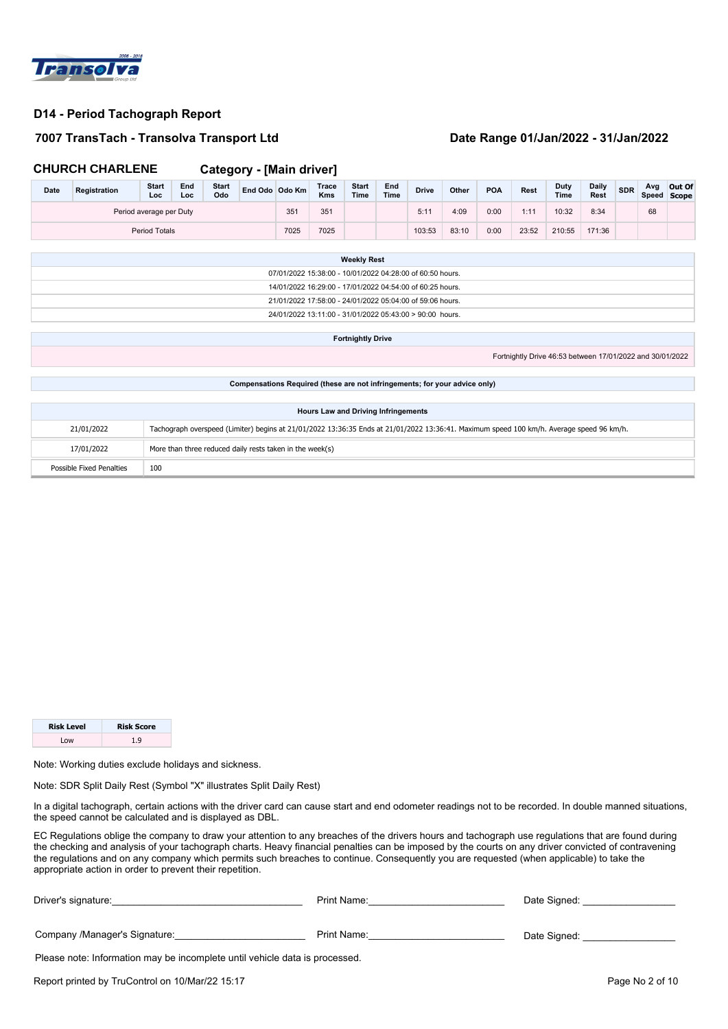

### **7007 TransTach - Transolva Transport Ltd Date Range 01/Jan/2022 - 31/Jan/2022**

|                                                                                 | <b>CHURCH CHARLENE</b>                                                 |                         |            |                     | <b>Category - [Main driver]</b>                                                                                                          |      |                                            |                      |                    |              |       |            |       |                                                           |                      |            |     |                       |
|---------------------------------------------------------------------------------|------------------------------------------------------------------------|-------------------------|------------|---------------------|------------------------------------------------------------------------------------------------------------------------------------------|------|--------------------------------------------|----------------------|--------------------|--------------|-------|------------|-------|-----------------------------------------------------------|----------------------|------------|-----|-----------------------|
| Date                                                                            | Registration                                                           | <b>Start</b><br>Loc     | End<br>Loc | <b>Start</b><br>Odo | End Odo Odo Km                                                                                                                           |      | <b>Trace</b><br><b>Kms</b>                 | <b>Start</b><br>Time | End<br><b>Time</b> | <b>Drive</b> | Other | <b>POA</b> | Rest  | Duty<br>Time                                              | <b>Daily</b><br>Rest | <b>SDR</b> | Avg | Out Of<br>Speed Scope |
|                                                                                 |                                                                        | Period average per Duty |            |                     |                                                                                                                                          | 351  | 351                                        |                      |                    | 5:11         | 4:09  | 0:00       | 1:11  | 10:32                                                     | 8:34                 |            | 68  |                       |
|                                                                                 |                                                                        | <b>Period Totals</b>    |            |                     |                                                                                                                                          | 7025 | 7025                                       |                      |                    | 103:53       | 83:10 | 0:00       | 23:52 | 210:55                                                    | 171:36               |            |     |                       |
|                                                                                 |                                                                        |                         |            |                     |                                                                                                                                          |      |                                            |                      |                    |              |       |            |       |                                                           |                      |            |     |                       |
| <b>Weekly Rest</b><br>07/01/2022 15:38:00 - 10/01/2022 04:28:00 of 60:50 hours. |                                                                        |                         |            |                     |                                                                                                                                          |      |                                            |                      |                    |              |       |            |       |                                                           |                      |            |     |                       |
| 14/01/2022 16:29:00 - 17/01/2022 04:54:00 of 60:25 hours.                       |                                                                        |                         |            |                     |                                                                                                                                          |      |                                            |                      |                    |              |       |            |       |                                                           |                      |            |     |                       |
| 21/01/2022 17:58:00 - 24/01/2022 05:04:00 of 59:06 hours.                       |                                                                        |                         |            |                     |                                                                                                                                          |      |                                            |                      |                    |              |       |            |       |                                                           |                      |            |     |                       |
| 24/01/2022 13:11:00 - 31/01/2022 05:43:00 > 90:00 hours.                        |                                                                        |                         |            |                     |                                                                                                                                          |      |                                            |                      |                    |              |       |            |       |                                                           |                      |            |     |                       |
|                                                                                 |                                                                        |                         |            |                     |                                                                                                                                          |      |                                            |                      |                    |              |       |            |       |                                                           |                      |            |     |                       |
| <b>Fortnightly Drive</b>                                                        |                                                                        |                         |            |                     |                                                                                                                                          |      |                                            |                      |                    |              |       |            |       |                                                           |                      |            |     |                       |
|                                                                                 |                                                                        |                         |            |                     |                                                                                                                                          |      |                                            |                      |                    |              |       |            |       | Fortnightly Drive 46:53 between 17/01/2022 and 30/01/2022 |                      |            |     |                       |
|                                                                                 |                                                                        |                         |            |                     |                                                                                                                                          |      |                                            |                      |                    |              |       |            |       |                                                           |                      |            |     |                       |
|                                                                                 |                                                                        |                         |            |                     | Compensations Required (these are not infringements; for your advice only)                                                               |      |                                            |                      |                    |              |       |            |       |                                                           |                      |            |     |                       |
|                                                                                 |                                                                        |                         |            |                     |                                                                                                                                          |      |                                            |                      |                    |              |       |            |       |                                                           |                      |            |     |                       |
|                                                                                 |                                                                        |                         |            |                     |                                                                                                                                          |      | <b>Hours Law and Driving Infringements</b> |                      |                    |              |       |            |       |                                                           |                      |            |     |                       |
|                                                                                 | 21/01/2022                                                             |                         |            |                     | Tachograph overspeed (Limiter) begins at 21/01/2022 13:36:35 Ends at 21/01/2022 13:36:41. Maximum speed 100 km/h. Average speed 96 km/h. |      |                                            |                      |                    |              |       |            |       |                                                           |                      |            |     |                       |
|                                                                                 | 17/01/2022<br>More than three reduced daily rests taken in the week(s) |                         |            |                     |                                                                                                                                          |      |                                            |                      |                    |              |       |            |       |                                                           |                      |            |     |                       |
|                                                                                 | <b>Possible Fixed Penalties</b><br>100                                 |                         |            |                     |                                                                                                                                          |      |                                            |                      |                    |              |       |            |       |                                                           |                      |            |     |                       |

| <b>Risk Level</b> | <b>Risk Score</b> |
|-------------------|-------------------|
| $\sim$            | 1 Q               |

Note: Working duties exclude holidays and sickness.

Note: SDR Split Daily Rest (Symbol "X" illustrates Split Daily Rest)

In a digital tachograph, certain actions with the driver card can cause start and end odometer readings not to be recorded. In double manned situations, the speed cannot be calculated and is displayed as DBL.

| Driver's signature:                                                         | Print Name: | Date Signed:    |  |  |  |  |  |  |  |
|-----------------------------------------------------------------------------|-------------|-----------------|--|--|--|--|--|--|--|
| Company /Manager's Signature:                                               | Print Name: | Date Signed:    |  |  |  |  |  |  |  |
| Please note: Information may be incomplete until vehicle data is processed. |             |                 |  |  |  |  |  |  |  |
| Report printed by TruControl on 10/Mar/22 15:17                             |             | Page No 2 of 10 |  |  |  |  |  |  |  |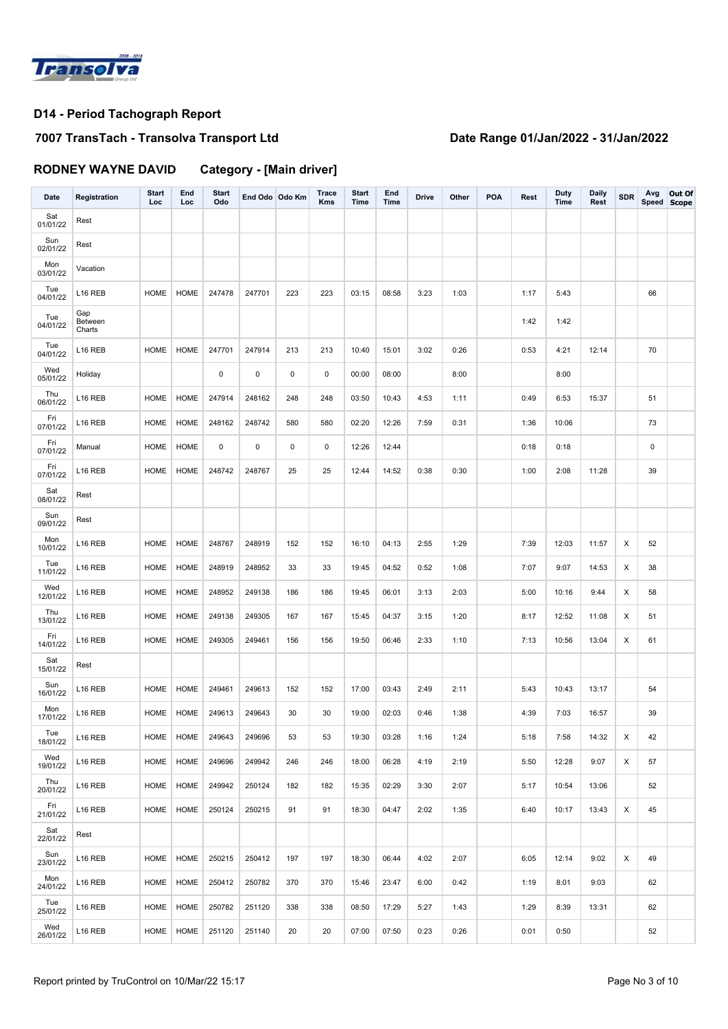

### **7007 TransTach - Transolva Transport Ltd Date Range 01/Jan/2022 - 31/Jan/2022**

**RODNEY WAYNE DAVID Category - [Main driver]**

| <b>Date</b>     | Registration             | <b>Start</b><br>Loc | End<br>Loc  | <b>Start</b><br>Odo | End Odo Odo Km |             | Trace<br><b>Kms</b> | <b>Start</b><br>Time | End<br><b>Time</b> | <b>Drive</b> | Other | <b>POA</b> | Rest | <b>Duty</b><br>Time | <b>Daily</b><br>Rest | <b>SDR</b> | Avg<br>Speed Scope | Out Of |
|-----------------|--------------------------|---------------------|-------------|---------------------|----------------|-------------|---------------------|----------------------|--------------------|--------------|-------|------------|------|---------------------|----------------------|------------|--------------------|--------|
| Sat<br>01/01/22 | Rest                     |                     |             |                     |                |             |                     |                      |                    |              |       |            |      |                     |                      |            |                    |        |
| Sun<br>02/01/22 | Rest                     |                     |             |                     |                |             |                     |                      |                    |              |       |            |      |                     |                      |            |                    |        |
| Mon<br>03/01/22 | Vacation                 |                     |             |                     |                |             |                     |                      |                    |              |       |            |      |                     |                      |            |                    |        |
| Tue<br>04/01/22 | L <sub>16</sub> REB      | <b>HOME</b>         | <b>HOME</b> | 247478              | 247701         | 223         | 223                 | 03:15                | 08:58              | 3:23         | 1:03  |            | 1:17 | 5:43                |                      |            | 66                 |        |
| Tue<br>04/01/22 | Gap<br>Between<br>Charts |                     |             |                     |                |             |                     |                      |                    |              |       |            | 1:42 | 1:42                |                      |            |                    |        |
| Tue<br>04/01/22 | L <sub>16</sub> REB      | HOME                | HOME        | 247701              | 247914         | 213         | 213                 | 10:40                | 15:01              | 3:02         | 0:26  |            | 0:53 | 4:21                | 12:14                |            | 70                 |        |
| Wed<br>05/01/22 | Holiday                  |                     |             | $\mathsf 0$         | $\pmb{0}$      | $\mathbf 0$ | $\pmb{0}$           | 00:00                | 08:00              |              | 8:00  |            |      | 8:00                |                      |            |                    |        |
| Thu<br>06/01/22 | L <sub>16</sub> REB      | HOME                | HOME        | 247914              | 248162         | 248         | 248                 | 03:50                | 10:43              | 4:53         | 1:11  |            | 0:49 | 6:53                | 15:37                |            | 51                 |        |
| Fri<br>07/01/22 | L16 REB                  | <b>HOME</b>         | HOME        | 248162              | 248742         | 580         | 580                 | 02:20                | 12:26              | 7:59         | 0:31  |            | 1:36 | 10:06               |                      |            | 73                 |        |
| Fri<br>07/01/22 | Manual                   | HOME                | HOME        | 0                   | $\pmb{0}$      | 0           | 0                   | 12:26                | 12:44              |              |       |            | 0:18 | 0:18                |                      |            | 0                  |        |
| Fri<br>07/01/22 | L16 REB                  | <b>HOME</b>         | HOME        | 248742              | 248767         | 25          | 25                  | 12:44                | 14:52              | 0:38         | 0:30  |            | 1:00 | 2:08                | 11:28                |            | 39                 |        |
| Sat<br>08/01/22 | Rest                     |                     |             |                     |                |             |                     |                      |                    |              |       |            |      |                     |                      |            |                    |        |
| Sun<br>09/01/22 | Rest                     |                     |             |                     |                |             |                     |                      |                    |              |       |            |      |                     |                      |            |                    |        |
| Mon<br>10/01/22 | L <sub>16</sub> REB      | <b>HOME</b>         | <b>HOME</b> | 248767              | 248919         | 152         | 152                 | 16:10                | 04:13              | 2:55         | 1:29  |            | 7:39 | 12:03               | 11:57                | X          | 52                 |        |
| Tue<br>11/01/22 | L <sub>16</sub> REB      | <b>HOME</b>         | HOME        | 248919              | 248952         | 33          | 33                  | 19:45                | 04:52              | 0:52         | 1:08  |            | 7:07 | 9:07                | 14:53                | X          | 38                 |        |
| Wed<br>12/01/22 | L <sub>16</sub> REB      | HOME                | HOME        | 248952              | 249138         | 186         | 186                 | 19:45                | 06:01              | 3:13         | 2:03  |            | 5:00 | 10:16               | 9:44                 | X          | 58                 |        |
| Thu<br>13/01/22 | L <sub>16</sub> REB      | HOME                | HOME        | 249138              | 249305         | 167         | 167                 | 15:45                | 04:37              | 3:15         | 1:20  |            | 8:17 | 12:52               | 11:08                | X          | 51                 |        |
| Fri<br>14/01/22 | L <sub>16</sub> REB      | HOME                | HOME        | 249305              | 249461         | 156         | 156                 | 19:50                | 06:46              | 2:33         | 1:10  |            | 7:13 | 10:56               | 13:04                | X          | 61                 |        |
| Sat<br>15/01/22 | Rest                     |                     |             |                     |                |             |                     |                      |                    |              |       |            |      |                     |                      |            |                    |        |
| Sun<br>16/01/22 | L <sub>16</sub> REB      | <b>HOME</b>         | <b>HOME</b> | 249461              | 249613         | 152         | 152                 | 17:00                | 03:43              | 2:49         | 2:11  |            | 5:43 | 10:43               | 13:17                |            | 54                 |        |
| Mon<br>17/01/22 | L <sub>16</sub> REB      | <b>HOME</b>         | <b>HOME</b> | 249613              | 249643         | 30          | 30                  | 19:00                | 02:03              | 0:46         | 1:38  |            | 4:39 | 7:03                | 16:57                |            | 39                 |        |
| Tue<br>18/01/22 | L16 REB                  |                     | HOME HOME   | 249643              | 249696         | 53          | 53                  | 19:30                | 03:28              | 1:16         | 1:24  |            | 5:18 | 7:58                | 14:32                | X          | 42                 |        |
| Wed<br>19/01/22 | L <sub>16</sub> REB      | HOME                | HOME        | 249696              | 249942         | 246         | 246                 | 18:00                | 06:28              | 4:19         | 2:19  |            | 5:50 | 12:28               | 9:07                 | X          | 57                 |        |
| Thu<br>20/01/22 | L16 REB                  | HOME                | HOME        | 249942              | 250124         | 182         | 182                 | 15:35                | 02:29              | 3:30         | 2:07  |            | 5:17 | 10:54               | 13:06                |            | 52                 |        |
| Fri<br>21/01/22 | L <sub>16</sub> REB      | HOME                | HOME        | 250124              | 250215         | 91          | 91                  | 18:30                | 04:47              | 2:02         | 1:35  |            | 6:40 | 10:17               | 13:43                | X          | 45                 |        |
| Sat<br>22/01/22 | Rest                     |                     |             |                     |                |             |                     |                      |                    |              |       |            |      |                     |                      |            |                    |        |
| Sun<br>23/01/22 | L <sub>16</sub> REB      | HOME                | HOME        | 250215              | 250412         | 197         | 197                 | 18:30                | 06:44              | 4:02         | 2:07  |            | 6:05 | 12:14               | 9:02                 | X          | 49                 |        |
| Mon<br>24/01/22 | L <sub>16</sub> REB      | HOME                | HOME        | 250412              | 250782         | 370         | 370                 | 15:46                | 23:47              | 6:00         | 0:42  |            | 1:19 | 8:01                | 9:03                 |            | 62                 |        |
| Tue<br>25/01/22 | L <sub>16</sub> REB      | HOME                | HOME        | 250782              | 251120         | 338         | 338                 | 08:50                | 17:29              | 5:27         | 1:43  |            | 1:29 | 8:39                | 13:31                |            | 62                 |        |
| Wed<br>26/01/22 | L <sub>16</sub> REB      | HOME                | HOME        | 251120              | 251140         | 20          | 20                  | 07:00                | 07:50              | 0:23         | 0:26  |            | 0:01 | 0:50                |                      |            | 52                 |        |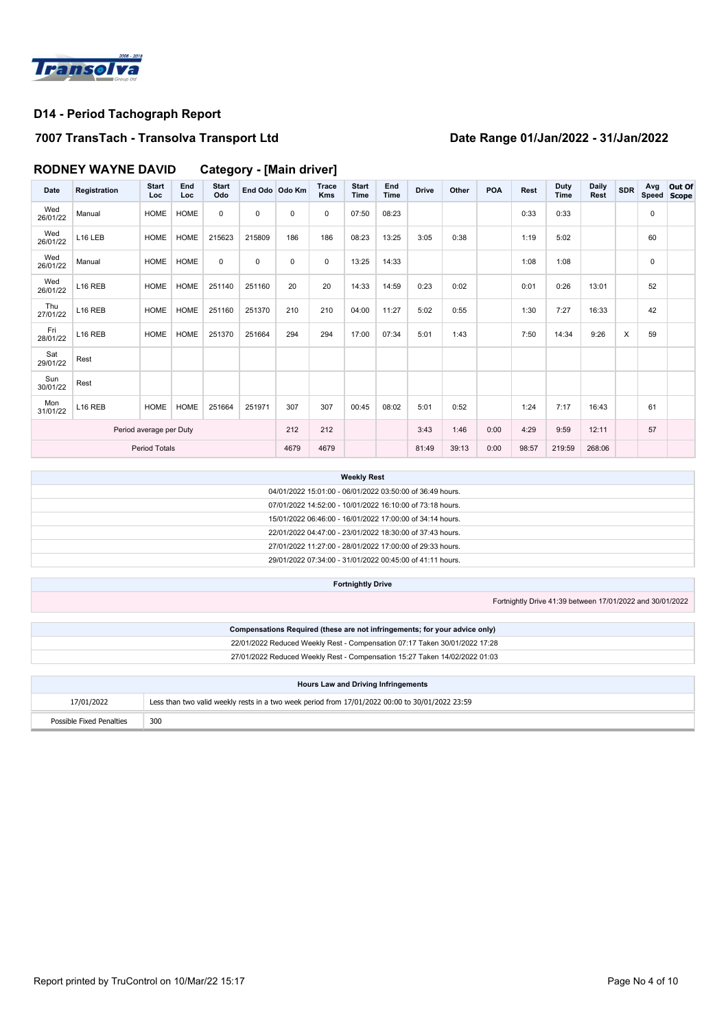

### **7007 TransTach - Transolva Transport Ltd Date Range 01/Jan/2022 - 31/Jan/2022**

# **RODNEY WAYNE DAVID Category - [Main driver]**

| <b>Date</b>             | Registration        | <b>Start</b><br>Loc | End<br>Loc  | <b>Start</b><br>Odo | End Odo Odo Km |      | Trace<br><b>Kms</b> | <b>Start</b><br>Time | End<br><b>Time</b> | <b>Drive</b> | Other | <b>POA</b> | Rest  | <b>Duty</b><br>Time | Daily<br>Rest | <b>SDR</b> | Avg<br>Speed Scope | Out Of |
|-------------------------|---------------------|---------------------|-------------|---------------------|----------------|------|---------------------|----------------------|--------------------|--------------|-------|------------|-------|---------------------|---------------|------------|--------------------|--------|
| Wed<br>26/01/22         | Manual              | <b>HOME</b>         | <b>HOME</b> | $\mathbf 0$         | $\mathbf 0$    | 0    | 0                   | 07:50                | 08:23              |              |       |            | 0:33  | 0:33                |               |            | 0                  |        |
| Wed<br>26/01/22         | L16 LEB             | HOME                | HOME        | 215623              | 215809         | 186  | 186                 | 08:23                | 13:25              | 3:05         | 0:38  |            | 1:19  | 5:02                |               |            | 60                 |        |
| Wed<br>26/01/22         | Manual              | HOME                | HOME        | $\mathbf 0$         | 0              | 0    | 0                   | 13:25                | 14:33              |              |       |            | 1:08  | 1:08                |               |            | 0                  |        |
| Wed<br>26/01/22         | L16 REB             | <b>HOME</b>         | HOME        | 251140              | 251160         | 20   | 20                  | 14:33                | 14:59              | 0:23         | 0:02  |            | 0:01  | 0:26                | 13:01         |            | 52                 |        |
| Thu<br>27/01/22         | L16 REB             | <b>HOME</b>         | HOME        | 251160              | 251370         | 210  | 210                 | 04:00                | 11:27              | 5:02         | 0:55  |            | 1:30  | 7:27                | 16:33         |            | 42                 |        |
| Fri<br>28/01/22         | L <sub>16</sub> REB | HOME                | HOME        | 251370              | 251664         | 294  | 294                 | 17:00                | 07:34              | 5:01         | 1:43  |            | 7:50  | 14:34               | 9:26          | X          | 59                 |        |
| Sat<br>29/01/22         | Rest                |                     |             |                     |                |      |                     |                      |                    |              |       |            |       |                     |               |            |                    |        |
| Sun<br>30/01/22         | Rest                |                     |             |                     |                |      |                     |                      |                    |              |       |            |       |                     |               |            |                    |        |
| Mon<br>31/01/22         | L <sub>16</sub> REB | <b>HOME</b>         | HOME        | 251664              | 251971         | 307  | 307                 | 00:45                | 08:02              | 5:01         | 0:52  |            | 1:24  | 7:17                | 16:43         |            | 61                 |        |
| Period average per Duty |                     |                     |             |                     | 212            | 212  |                     |                      | 3:43               | 1:46         | 0:00  | 4:29       | 9:59  | 12:11               |               | 57         |                    |        |
| <b>Period Totals</b>    |                     |                     |             |                     |                | 4679 | 4679                |                      |                    | 81:49        | 39:13 | 0:00       | 98:57 | 219:59              | 268:06        |            |                    |        |

| <b>Weekly Rest</b>                                        |
|-----------------------------------------------------------|
| 04/01/2022 15:01:00 - 06/01/2022 03:50:00 of 36:49 hours. |
| 07/01/2022 14:52:00 - 10/01/2022 16:10:00 of 73:18 hours. |
| 15/01/2022 06:46:00 - 16/01/2022 17:00:00 of 34:14 hours. |
| 22/01/2022 04:47:00 - 23/01/2022 18:30:00 of 37:43 hours. |
| 27/01/2022 11:27:00 - 28/01/2022 17:00:00 of 29:33 hours. |
| 29/01/2022 07:34:00 - 31/01/2022 00:45:00 of 41:11 hours. |

| <b>Fortnightly Drive</b> |                                                           |
|--------------------------|-----------------------------------------------------------|
|                          | Fortnightly Drive 41:39 between 17/01/2022 and 30/01/2022 |

| Compensations Required (these are not infringements; for your advice only) |
|----------------------------------------------------------------------------|
| 22/01/2022 Reduced Weekly Rest - Compensation 07:17 Taken 30/01/2022 17:28 |
| 27/01/2022 Reduced Weekly Rest - Compensation 15:27 Taken 14/02/2022 01:03 |
|                                                                            |

| <b>Hours Law and Driving Infringements</b> |                                                                                                 |  |  |  |  |  |  |  |  |
|--------------------------------------------|-------------------------------------------------------------------------------------------------|--|--|--|--|--|--|--|--|
| 17/01/2022                                 | Less than two valid weekly rests in a two week period from 17/01/2022 00:00 to 30/01/2022 23:59 |  |  |  |  |  |  |  |  |
| Possible Fixed Penalties                   | 300                                                                                             |  |  |  |  |  |  |  |  |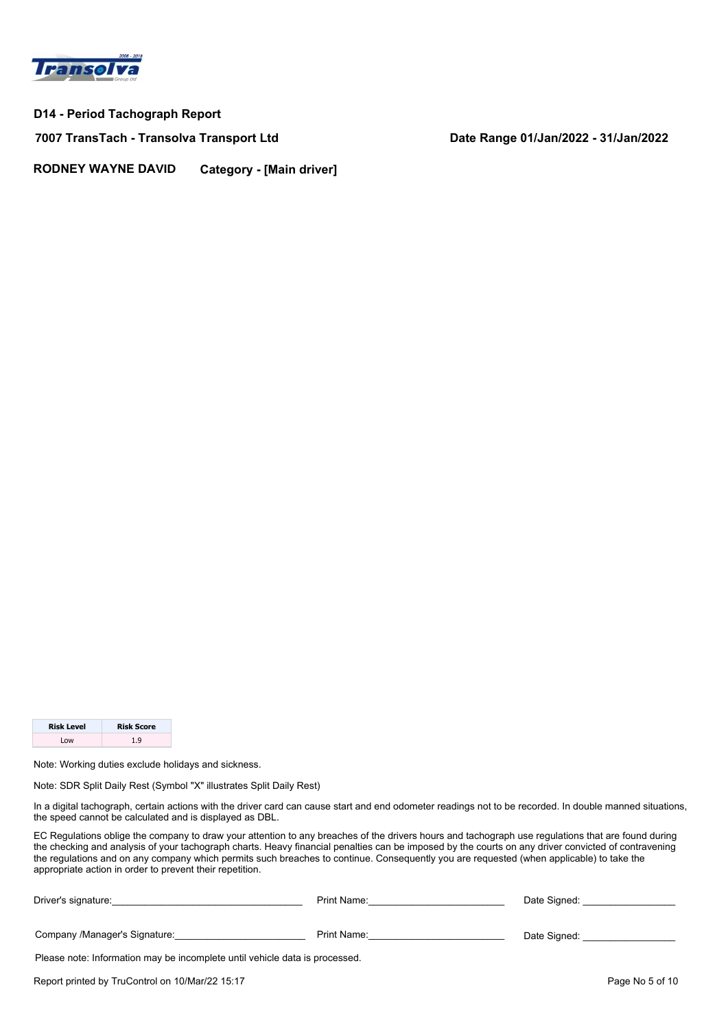

**7007 TransTach - Transolva Transport Ltd Date Range 01/Jan/2022 - 31/Jan/2022**

**RODNEY WAYNE DAVID Category - [Main driver]**

| <b>Risk Level</b> | <b>Risk Score</b> |
|-------------------|-------------------|
| l ow              | 1 Q               |

Note: Working duties exclude holidays and sickness.

Note: SDR Split Daily Rest (Symbol "X" illustrates Split Daily Rest)

In a digital tachograph, certain actions with the driver card can cause start and end odometer readings not to be recorded. In double manned situations, the speed cannot be calculated and is displayed as DBL.

| Driver's signature:                                                         | Print Name: | Date Signed:    |  |  |  |  |  |  |  |
|-----------------------------------------------------------------------------|-------------|-----------------|--|--|--|--|--|--|--|
| Company /Manager's Signature:                                               | Print Name: | Date Signed:    |  |  |  |  |  |  |  |
| Please note: Information may be incomplete until vehicle data is processed. |             |                 |  |  |  |  |  |  |  |
| Report printed by TruControl on 10/Mar/22 15:17                             |             | Page No 5 of 10 |  |  |  |  |  |  |  |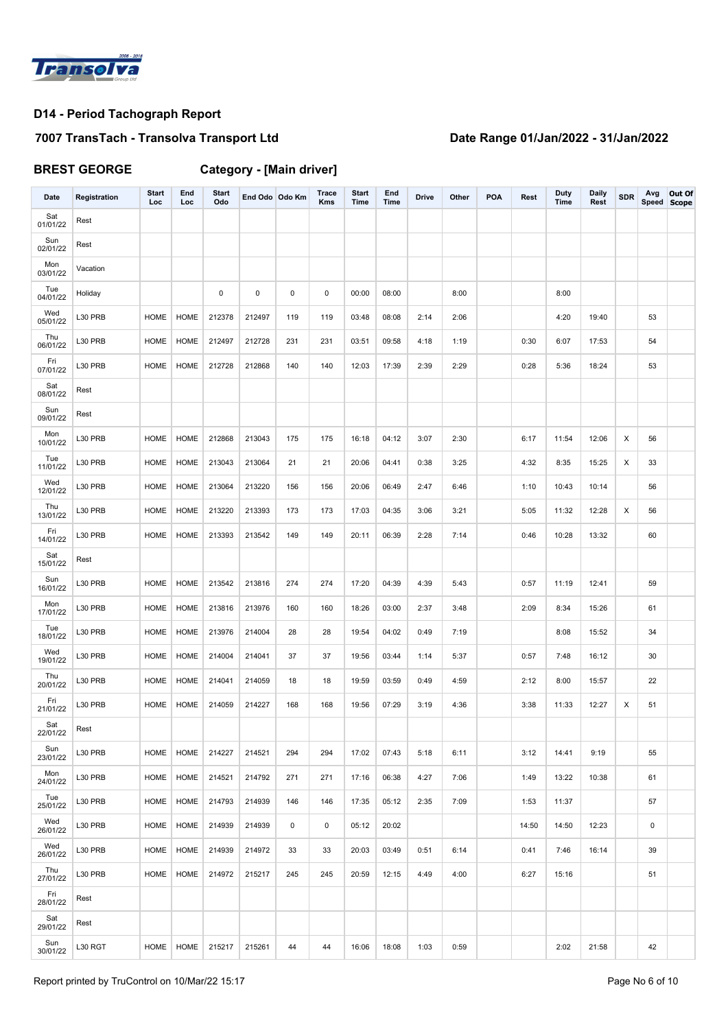

# **7007 TransTach - Transolva Transport Ltd Date Range 01/Jan/2022 - 31/Jan/2022**

**BREST GEORGE Category - [Main driver]**

| Date            | Registration | <b>Start</b><br>Loc | End<br>Loc  | <b>Start</b><br>Odo | End Odo Odo Km |     | Trace<br><b>Kms</b> | <b>Start</b><br>Time | End<br><b>Time</b> | <b>Drive</b> | Other | <b>POA</b> | Rest  | Duty<br>Time | <b>Daily</b><br>Rest | <b>SDR</b> | Avg<br>Speed Scope | Out Of |
|-----------------|--------------|---------------------|-------------|---------------------|----------------|-----|---------------------|----------------------|--------------------|--------------|-------|------------|-------|--------------|----------------------|------------|--------------------|--------|
| Sat<br>01/01/22 | Rest         |                     |             |                     |                |     |                     |                      |                    |              |       |            |       |              |                      |            |                    |        |
| Sun<br>02/01/22 | Rest         |                     |             |                     |                |     |                     |                      |                    |              |       |            |       |              |                      |            |                    |        |
| Mon<br>03/01/22 | Vacation     |                     |             |                     |                |     |                     |                      |                    |              |       |            |       |              |                      |            |                    |        |
| Tue<br>04/01/22 | Holiday      |                     |             | $\mathsf 0$         | 0              | 0   | 0                   | 00:00                | 08:00              |              | 8:00  |            |       | 8:00         |                      |            |                    |        |
| Wed<br>05/01/22 | L30 PRB      | <b>HOME</b>         | <b>HOME</b> | 212378              | 212497         | 119 | 119                 | 03:48                | 08:08              | 2:14         | 2:06  |            |       | 4:20         | 19:40                |            | 53                 |        |
| Thu<br>06/01/22 | L30 PRB      | HOME                | <b>HOME</b> | 212497              | 212728         | 231 | 231                 | 03:51                | 09:58              | 4:18         | 1:19  |            | 0:30  | 6:07         | 17:53                |            | 54                 |        |
| Fri<br>07/01/22 | L30 PRB      | <b>HOME</b>         | HOME        | 212728              | 212868         | 140 | 140                 | 12:03                | 17:39              | 2:39         | 2:29  |            | 0:28  | 5:36         | 18:24                |            | 53                 |        |
| Sat<br>08/01/22 | Rest         |                     |             |                     |                |     |                     |                      |                    |              |       |            |       |              |                      |            |                    |        |
| Sun<br>09/01/22 | Rest         |                     |             |                     |                |     |                     |                      |                    |              |       |            |       |              |                      |            |                    |        |
| Mon<br>10/01/22 | L30 PRB      | HOME                | <b>HOME</b> | 212868              | 213043         | 175 | 175                 | 16:18                | 04:12              | 3:07         | 2:30  |            | 6:17  | 11:54        | 12:06                | X          | 56                 |        |
| Tue<br>11/01/22 | L30 PRB      | HOME                | HOME        | 213043              | 213064         | 21  | 21                  | 20:06                | 04:41              | 0:38         | 3:25  |            | 4:32  | 8:35         | 15:25                | X          | 33                 |        |
| Wed<br>12/01/22 | L30 PRB      | HOME                | HOME        | 213064              | 213220         | 156 | 156                 | 20:06                | 06:49              | 2:47         | 6:46  |            | 1:10  | 10:43        | 10:14                |            | 56                 |        |
| Thu<br>13/01/22 | L30 PRB      | HOME                | HOME        | 213220              | 213393         | 173 | 173                 | 17:03                | 04:35              | 3:06         | 3:21  |            | 5:05  | 11:32        | 12:28                | X          | 56                 |        |
| Fri<br>14/01/22 | L30 PRB      | <b>HOME</b>         | <b>HOME</b> | 213393              | 213542         | 149 | 149                 | 20:11                | 06:39              | 2:28         | 7:14  |            | 0:46  | 10:28        | 13:32                |            | 60                 |        |
| Sat<br>15/01/22 | Rest         |                     |             |                     |                |     |                     |                      |                    |              |       |            |       |              |                      |            |                    |        |
| Sun<br>16/01/22 | L30 PRB      | HOME                | HOME        | 213542              | 213816         | 274 | 274                 | 17:20                | 04:39              | 4:39         | 5:43  |            | 0:57  | 11:19        | 12:41                |            | 59                 |        |
| Mon<br>17/01/22 | L30 PRB      | HOME                | HOME        | 213816              | 213976         | 160 | 160                 | 18:26                | 03:00              | 2:37         | 3:48  |            | 2:09  | 8:34         | 15:26                |            | 61                 |        |
| Tue<br>18/01/22 | L30 PRB      | <b>HOME</b>         | <b>HOME</b> | 213976              | 214004         | 28  | 28                  | 19:54                | 04:02              | 0:49         | 7:19  |            |       | 8:08         | 15:52                |            | 34                 |        |
| Wed<br>19/01/22 | L30 PRB      | <b>HOME</b>         | HOME        | 214004              | 214041         | 37  | 37                  | 19:56                | 03:44              | 1:14         | 5:37  |            | 0:57  | 7:48         | 16:12                |            | 30                 |        |
| Thu<br>20/01/22 | L30 PRB      | <b>HOME</b>         | HOME        | 214041              | 214059         | 18  | 18                  | 19:59                | 03:59              | 0:49         | 4:59  |            | 2:12  | 8:00         | 15:57                |            | 22                 |        |
| Fri<br>21/01/22 | L30 PRB      | <b>HOME</b>         | <b>HOME</b> | 214059              | 214227         | 168 | 168                 | 19:56                | 07:29              | 3:19         | 4:36  |            | 3:38  | 11:33        | 12:27                | X          | 51                 |        |
| Sat<br>22/01/22 | Rest         |                     |             |                     |                |     |                     |                      |                    |              |       |            |       |              |                      |            |                    |        |
| Sun<br>23/01/22 | L30 PRB      | HOME                | HOME        | 214227              | 214521         | 294 | 294                 | 17:02                | 07:43              | 5:18         | 6:11  |            | 3:12  | 14:41        | 9:19                 |            | 55                 |        |
| Mon<br>24/01/22 | L30 PRB      | HOME                | HOME        | 214521              | 214792         | 271 | 271                 | 17:16                | 06:38              | 4:27         | 7:06  |            | 1:49  | 13:22        | 10:38                |            | 61                 |        |
| Tue<br>25/01/22 | L30 PRB      | HOME                | HOME        | 214793              | 214939         | 146 | 146                 | 17:35                | 05:12              | 2:35         | 7:09  |            | 1:53  | 11:37        |                      |            | 57                 |        |
| Wed<br>26/01/22 | L30 PRB      | HOME                | HOME        | 214939              | 214939         | 0   | 0                   | 05:12                | 20:02              |              |       |            | 14:50 | 14:50        | 12:23                |            | 0                  |        |
| Wed<br>26/01/22 | L30 PRB      | HOME                | HOME        | 214939              | 214972         | 33  | 33                  | 20:03                | 03:49              | 0:51         | 6:14  |            | 0:41  | 7:46         | 16:14                |            | 39                 |        |
| Thu<br>27/01/22 | L30 PRB      | HOME                | <b>HOME</b> | 214972              | 215217         | 245 | 245                 | 20:59                | 12:15              | 4:49         | 4:00  |            | 6:27  | 15:16        |                      |            | 51                 |        |
| Fri<br>28/01/22 | Rest         |                     |             |                     |                |     |                     |                      |                    |              |       |            |       |              |                      |            |                    |        |
| Sat<br>29/01/22 | Rest         |                     |             |                     |                |     |                     |                      |                    |              |       |            |       |              |                      |            |                    |        |
| Sun<br>30/01/22 | L30 RGT      | HOME                | HOME        | 215217              | 215261         | 44  | 44                  | 16:06                | 18:08              | 1:03         | 0:59  |            |       | 2:02         | 21:58                |            | 42                 |        |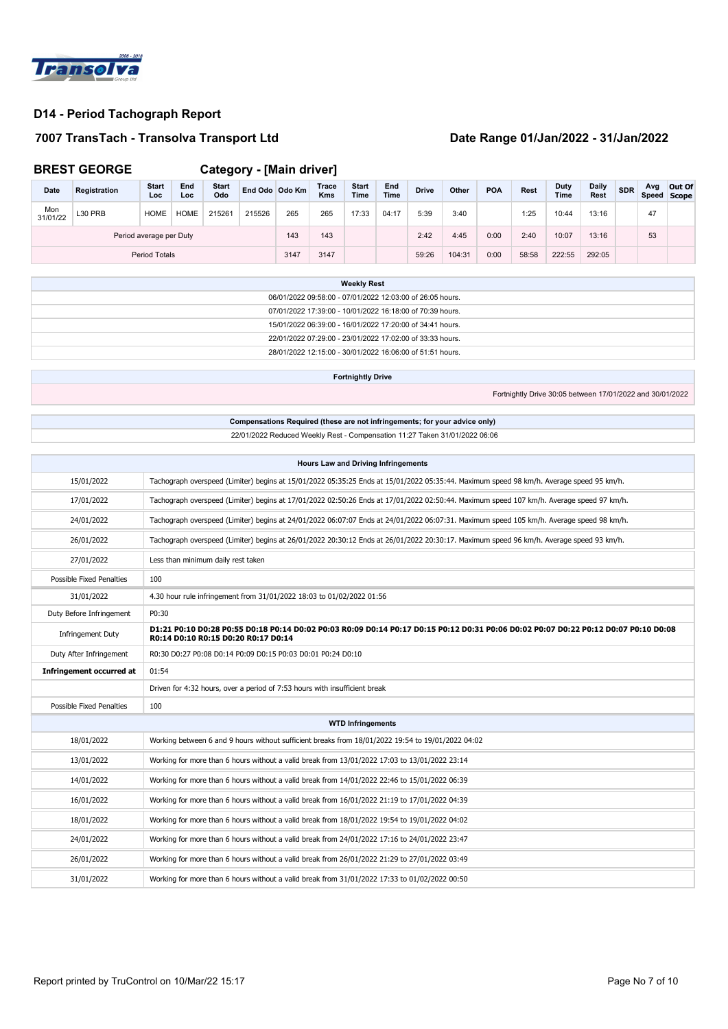

### **7007 TransTach - Transolva Transport Ltd Date Range 01/Jan/2022 - 31/Jan/2022**

**BREST GEORGE Category - [Main driver]**

| Date                    | Registration | <b>Start</b><br>Loc | End<br>Loc  | <b>Start</b><br>Odo | End Odo Odo Km |      | Trace<br><b>Kms</b> | <b>Start</b><br>Time | End<br>Time | <b>Drive</b> | Other  | <b>POA</b> | Rest  | <b>Duty</b><br><b>Time</b> | <b>Daily</b><br><b>Rest</b> | <b>SDR</b> | Avg | Out Of<br>Speed Scope |
|-------------------------|--------------|---------------------|-------------|---------------------|----------------|------|---------------------|----------------------|-------------|--------------|--------|------------|-------|----------------------------|-----------------------------|------------|-----|-----------------------|
| Mon<br>31/01/22         | L30 PRB      | <b>HOME</b>         | <b>HOME</b> | 215261              | 215526         | 265  | 265                 | 17:33                | 04:17       | 5:39         | 3:40   |            | 1:25  | 10:44                      | 13:16                       |            | 47  |                       |
| Period average per Duty |              |                     |             |                     |                | 143  | 143                 |                      |             | 2:42         | 4:45   | 0:00       | 2:40  | 10:07                      | 13:16                       |            | 53  |                       |
| <b>Period Totals</b>    |              |                     |             |                     |                | 3147 | 3147                |                      |             | 59:26        | 104:31 | 0:00       | 58:58 | 222:55                     | 292:05                      |            |     |                       |

| <b>Weekly Rest</b>                                        |
|-----------------------------------------------------------|
| 06/01/2022 09:58:00 - 07/01/2022 12:03:00 of 26:05 hours. |
| 07/01/2022 17:39:00 - 10/01/2022 16:18:00 of 70:39 hours. |
| 15/01/2022 06:39:00 - 16/01/2022 17:20:00 of 34:41 hours. |
| 22/01/2022 07:29:00 - 23/01/2022 17:02:00 of 33:33 hours. |
| 28/01/2022 12:15:00 - 30/01/2022 16:06:00 of 51:51 hours. |
|                                                           |

**Fortnightly Drive**

Fortnightly Drive 30:05 between 17/01/2022 and 30/01/2022

### **Compensations Required (these are not infringements; for your advice only)** 22/01/2022 Reduced Weekly Rest - Compensation 11:27 Taken 31/01/2022 06:06

| <b>Hours Law and Driving Infringements</b> |                                                                                                                                                                            |  |  |  |  |  |  |  |
|--------------------------------------------|----------------------------------------------------------------------------------------------------------------------------------------------------------------------------|--|--|--|--|--|--|--|
| 15/01/2022                                 | Tachograph overspeed (Limiter) begins at 15/01/2022 05:35:25 Ends at 15/01/2022 05:35:44. Maximum speed 98 km/h. Average speed 95 km/h.                                    |  |  |  |  |  |  |  |
| 17/01/2022                                 | Tachograph overspeed (Limiter) begins at 17/01/2022 02:50:26 Ends at 17/01/2022 02:50:44. Maximum speed 107 km/h. Average speed 97 km/h.                                   |  |  |  |  |  |  |  |
| 24/01/2022                                 | Tachograph overspeed (Limiter) begins at 24/01/2022 06:07:07 Ends at 24/01/2022 06:07:31. Maximum speed 105 km/h. Average speed 98 km/h.                                   |  |  |  |  |  |  |  |
| 26/01/2022                                 | Tachograph overspeed (Limiter) begins at 26/01/2022 20:30:12 Ends at 26/01/2022 20:30:17. Maximum speed 96 km/h. Average speed 93 km/h.                                    |  |  |  |  |  |  |  |
| 27/01/2022                                 | Less than minimum daily rest taken                                                                                                                                         |  |  |  |  |  |  |  |
| Possible Fixed Penalties                   | 100                                                                                                                                                                        |  |  |  |  |  |  |  |
| 31/01/2022                                 | 4.30 hour rule infringement from 31/01/2022 18:03 to 01/02/2022 01:56                                                                                                      |  |  |  |  |  |  |  |
| Duty Before Infringement                   | P0:30                                                                                                                                                                      |  |  |  |  |  |  |  |
| Infringement Duty                          | D1:21 P0:10 D0:28 P0:55 D0:18 P0:14 D0:02 P0:03 R0:09 D0:14 P0:17 D0:15 P0:12 D0:31 P0:06 D0:02 P0:07 D0:22 P0:12 D0:07 P0:10 D0:08<br>R0:14 D0:10 R0:15 D0:20 R0:17 D0:14 |  |  |  |  |  |  |  |
| Duty After Infringement                    | R0:30 D0:27 P0:08 D0:14 P0:09 D0:15 P0:03 D0:01 P0:24 D0:10                                                                                                                |  |  |  |  |  |  |  |
| <b>Infringement occurred at</b>            | 01:54                                                                                                                                                                      |  |  |  |  |  |  |  |
|                                            | Driven for 4:32 hours, over a period of 7:53 hours with insufficient break                                                                                                 |  |  |  |  |  |  |  |
| Possible Fixed Penalties                   | 100                                                                                                                                                                        |  |  |  |  |  |  |  |
|                                            | <b>WTD Infringements</b>                                                                                                                                                   |  |  |  |  |  |  |  |
| 18/01/2022                                 | Working between 6 and 9 hours without sufficient breaks from 18/01/2022 19:54 to 19/01/2022 04:02                                                                          |  |  |  |  |  |  |  |
| 13/01/2022                                 | Working for more than 6 hours without a valid break from 13/01/2022 17:03 to 13/01/2022 23:14                                                                              |  |  |  |  |  |  |  |
| 14/01/2022                                 | Working for more than 6 hours without a valid break from 14/01/2022 22:46 to 15/01/2022 06:39                                                                              |  |  |  |  |  |  |  |
| 16/01/2022                                 | Working for more than 6 hours without a valid break from 16/01/2022 21:19 to 17/01/2022 04:39                                                                              |  |  |  |  |  |  |  |
| 18/01/2022                                 | Working for more than 6 hours without a valid break from 18/01/2022 19:54 to 19/01/2022 04:02                                                                              |  |  |  |  |  |  |  |
| 24/01/2022                                 | Working for more than 6 hours without a valid break from 24/01/2022 17:16 to 24/01/2022 23:47                                                                              |  |  |  |  |  |  |  |
| 26/01/2022                                 | Working for more than 6 hours without a valid break from 26/01/2022 21:29 to 27/01/2022 03:49                                                                              |  |  |  |  |  |  |  |
| 31/01/2022                                 | Working for more than 6 hours without a valid break from 31/01/2022 17:33 to 01/02/2022 00:50                                                                              |  |  |  |  |  |  |  |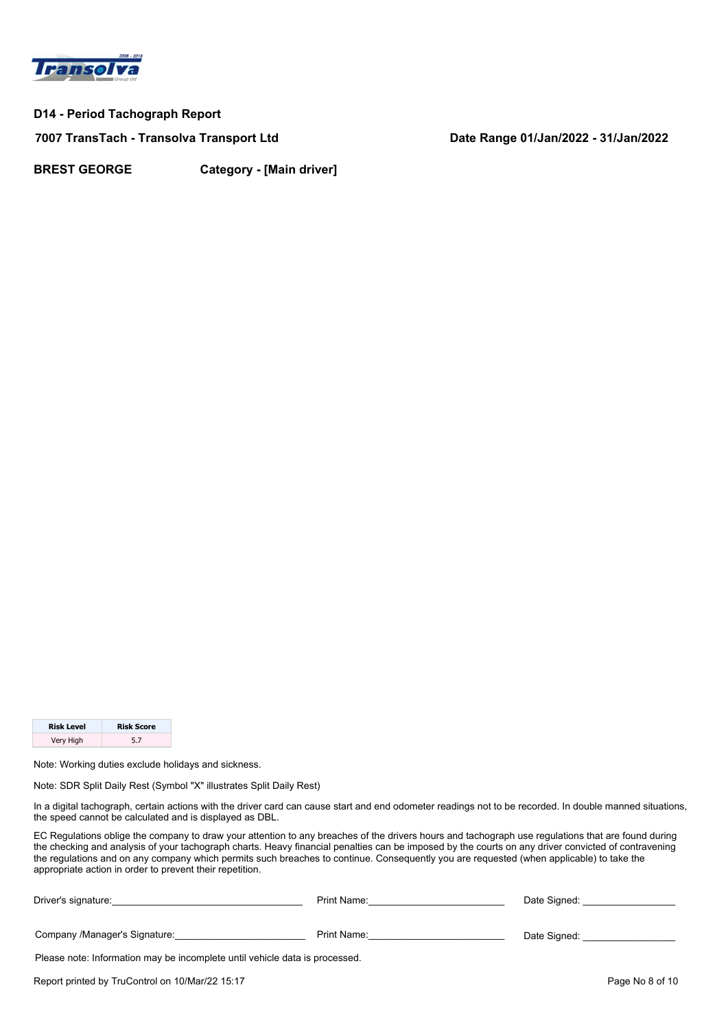

**7007 TransTach - Transolva Transport Ltd Date Range 01/Jan/2022 - 31/Jan/2022**

**BREST GEORGE Category - [Main driver]**

| <b>Risk Level</b> | <b>Risk Score</b> |
|-------------------|-------------------|
| Very High         | 5.7               |

Note: Working duties exclude holidays and sickness.

Note: SDR Split Daily Rest (Symbol "X" illustrates Split Daily Rest)

In a digital tachograph, certain actions with the driver card can cause start and end odometer readings not to be recorded. In double manned situations, the speed cannot be calculated and is displayed as DBL.

| Driver's signature:                                                         | Print Name: | Date Signed:    |  |  |  |  |  |  |
|-----------------------------------------------------------------------------|-------------|-----------------|--|--|--|--|--|--|
| Company /Manager's Signature:                                               | Print Name: | Date Signed:    |  |  |  |  |  |  |
| Please note: Information may be incomplete until vehicle data is processed. |             |                 |  |  |  |  |  |  |
| Report printed by TruControl on 10/Mar/22 15:17                             |             | Page No 8 of 10 |  |  |  |  |  |  |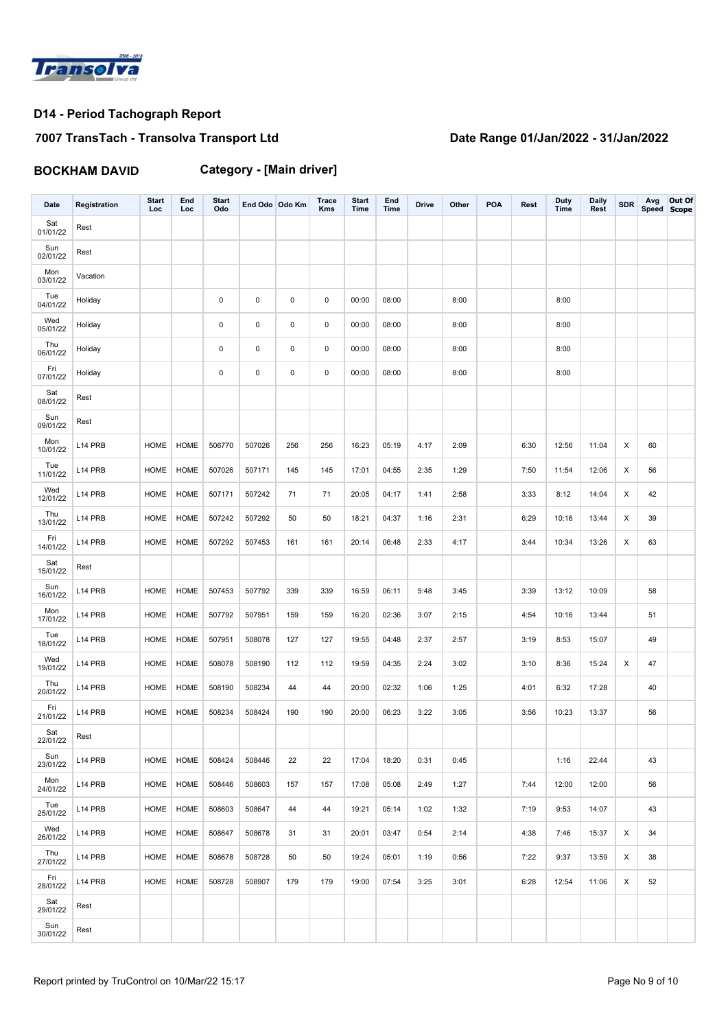

# **7007 TransTach - Transolva Transport Ltd Date Range 01/Jan/2022 - 31/Jan/2022**

**BOCKHAM DAVID Category - [Main driver]**

| Date            | Registration | <b>Start</b><br>Loc | End<br>Loc  | <b>Start</b><br>Odo | End Odo Odo Km |     | <b>Trace</b><br>Kms | <b>Start</b><br>Time | End<br>Time | <b>Drive</b> | Other | <b>POA</b> | Rest | <b>Duty</b><br><b>Time</b> | <b>Daily</b><br>Rest | <b>SDR</b> | Avg | Out Of<br>Speed Scope |
|-----------------|--------------|---------------------|-------------|---------------------|----------------|-----|---------------------|----------------------|-------------|--------------|-------|------------|------|----------------------------|----------------------|------------|-----|-----------------------|
| Sat<br>01/01/22 | Rest         |                     |             |                     |                |     |                     |                      |             |              |       |            |      |                            |                      |            |     |                       |
| Sun<br>02/01/22 | Rest         |                     |             |                     |                |     |                     |                      |             |              |       |            |      |                            |                      |            |     |                       |
| Mon<br>03/01/22 | Vacation     |                     |             |                     |                |     |                     |                      |             |              |       |            |      |                            |                      |            |     |                       |
| Tue<br>04/01/22 | Holiday      |                     |             | $\mathsf 0$         | 0              | 0   | 0                   | 00:00                | 08:00       |              | 8:00  |            |      | 8:00                       |                      |            |     |                       |
| Wed<br>05/01/22 | Holiday      |                     |             | $\mathsf 0$         | $\mathbf 0$    | 0   | 0                   | 00:00                | 08:00       |              | 8:00  |            |      | 8:00                       |                      |            |     |                       |
| Thu<br>06/01/22 | Holiday      |                     |             | 0                   | $\mathbf 0$    | 0   | 0                   | 00:00                | 08:00       |              | 8:00  |            |      | 8:00                       |                      |            |     |                       |
| Fri<br>07/01/22 | Holiday      |                     |             | $\mathsf 0$         | 0              | 0   | 0                   | 00:00                | 08:00       |              | 8:00  |            |      | 8:00                       |                      |            |     |                       |
| Sat<br>08/01/22 | Rest         |                     |             |                     |                |     |                     |                      |             |              |       |            |      |                            |                      |            |     |                       |
| Sun<br>09/01/22 | Rest         |                     |             |                     |                |     |                     |                      |             |              |       |            |      |                            |                      |            |     |                       |
| Mon<br>10/01/22 | L14 PRB      | <b>HOME</b>         | HOME        | 506770              | 507026         | 256 | 256                 | 16:23                | 05:19       | 4:17         | 2:09  |            | 6:30 | 12:56                      | 11:04                | Х          | 60  |                       |
| Tue<br>11/01/22 | L14 PRB      | <b>HOME</b>         | HOME        | 507026              | 507171         | 145 | 145                 | 17:01                | 04:55       | 2:35         | 1:29  |            | 7:50 | 11:54                      | 12:06                | Х          | 56  |                       |
| Wed<br>12/01/22 | L14 PRB      | HOME                | <b>HOME</b> | 507171              | 507242         | 71  | 71                  | 20:05                | 04:17       | 1:41         | 2:58  |            | 3:33 | 8:12                       | 14:04                | X          | 42  |                       |
| Thu<br>13/01/22 | L14 PRB      | <b>HOME</b>         | <b>HOME</b> | 507242              | 507292         | 50  | 50                  | 18:21                | 04:37       | 1:16         | 2:31  |            | 6:29 | 10:16                      | 13:44                | X          | 39  |                       |
| Fri<br>14/01/22 | L14 PRB      | <b>HOME</b>         | <b>HOME</b> | 507292              | 507453         | 161 | 161                 | 20:14                | 06:48       | 2:33         | 4:17  |            | 3:44 | 10:34                      | 13:26                | Х          | 63  |                       |
| Sat<br>15/01/22 | Rest         |                     |             |                     |                |     |                     |                      |             |              |       |            |      |                            |                      |            |     |                       |
| Sun<br>16/01/22 | L14 PRB      | <b>HOME</b>         | <b>HOME</b> | 507453              | 507792         | 339 | 339                 | 16:59                | 06:11       | 5:48         | 3:45  |            | 3:39 | 13:12                      | 10:09                |            | 58  |                       |
| Mon<br>17/01/22 | L14 PRB      | <b>HOME</b>         | <b>HOME</b> | 507792              | 507951         | 159 | 159                 | 16:20                | 02:36       | 3:07         | 2:15  |            | 4:54 | 10:16                      | 13:44                |            | 51  |                       |
| Tue<br>18/01/22 | L14 PRB      | <b>HOME</b>         | HOME        | 507951              | 508078         | 127 | 127                 | 19:55                | 04:48       | 2:37         | 2:57  |            | 3:19 | 8:53                       | 15:07                |            | 49  |                       |
| Wed<br>19/01/22 | L14 PRB      | HOME                | <b>HOME</b> | 508078              | 508190         | 112 | 112                 | 19:59                | 04:35       | 2:24         | 3:02  |            | 3:10 | 8:36                       | 15:24                | X          | 47  |                       |
| Thu<br>20/01/22 | L14 PRB      | HOME                | HOME        | 508190              | 508234         | 44  | 44                  | 20:00                | 02:32       | 1:06         | 1:25  |            | 4:01 | 6:32                       | 17:28                |            | 40  |                       |
| Fri<br>21/01/22 | L14 PRB      | <b>HOME</b>         | HOME        | 508234              | 508424         | 190 | 190                 | 20:00                | 06:23       | 3:22         | 3:05  |            | 3:56 | 10:23                      | 13:37                |            | 56  |                       |
| Sat<br>22/01/22 | Rest         |                     |             |                     |                |     |                     |                      |             |              |       |            |      |                            |                      |            |     |                       |
| Sun<br>23/01/22 | L14 PRB      | HOME                | HOME        | 508424              | 508446         | 22  | 22                  | 17:04                | 18:20       | 0:31         | 0:45  |            |      | 1:16                       | 22:44                |            | 43  |                       |
| Mon<br>24/01/22 | L14 PRB      | HOME                | HOME        | 508446              | 508603         | 157 | 157                 | 17:08                | 05:08       | 2:49         | 1:27  |            | 7:44 | 12:00                      | 12:00                |            | 56  |                       |
| Tue<br>25/01/22 | L14 PRB      | HOME                | HOME        | 508603              | 508647         | 44  | 44                  | 19:21                | 05:14       | 1:02         | 1:32  |            | 7:19 | 9:53                       | 14:07                |            | 43  |                       |
| Wed<br>26/01/22 | L14 PRB      | HOME                | <b>HOME</b> | 508647              | 508678         | 31  | 31                  | 20:01                | 03:47       | 0:54         | 2:14  |            | 4:38 | 7:46                       | 15:37                | Х          | 34  |                       |
| Thu<br>27/01/22 | L14 PRB      | HOME                | <b>HOME</b> | 508678              | 508728         | 50  | 50                  | 19:24                | 05:01       | 1:19         | 0:56  |            | 7:22 | 9:37                       | 13:59                | Х          | 38  |                       |
| Fri<br>28/01/22 | L14 PRB      | HOME                | <b>HOME</b> | 508728              | 508907         | 179 | 179                 | 19:00                | 07:54       | 3:25         | 3:01  |            | 6:28 | 12:54                      | 11:06                | Х          | 52  |                       |
| Sat<br>29/01/22 | Rest         |                     |             |                     |                |     |                     |                      |             |              |       |            |      |                            |                      |            |     |                       |
| Sun<br>30/01/22 | Rest         |                     |             |                     |                |     |                     |                      |             |              |       |            |      |                            |                      |            |     |                       |